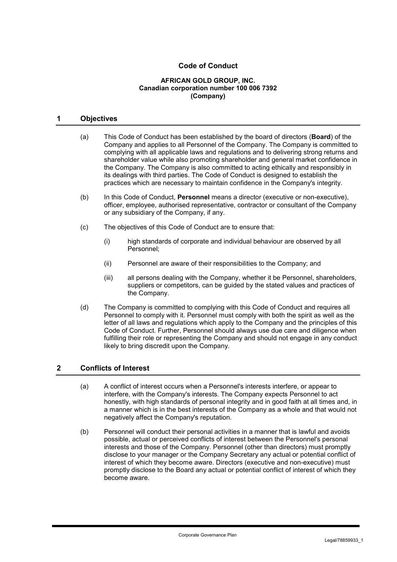# **Code of Conduct**

#### **AFRICAN GOLD GROUP, INC. Canadian corporation number 100 006 7392 (Company)**

#### **1 Objectives**

- (a) This Code of Conduct has been established by the board of directors (**Board**) of the Company and applies to all Personnel of the Company. The Company is committed to complying with all applicable laws and regulations and to delivering strong returns and shareholder value while also promoting shareholder and general market confidence in the Company. The Company is also committed to acting ethically and responsibly in its dealings with third parties. The Code of Conduct is designed to establish the practices which are necessary to maintain confidence in the Company's integrity.
- (b) In this Code of Conduct, **Personnel** means a director (executive or non-executive), officer, employee, authorised representative, contractor or consultant of the Company or any subsidiary of the Company, if any.
- (c) The objectives of this Code of Conduct are to ensure that:
	- (i) high standards of corporate and individual behaviour are observed by all Personnel;
	- (ii) Personnel are aware of their responsibilities to the Company; and
	- (iii) all persons dealing with the Company, whether it be Personnel, shareholders, suppliers or competitors, can be guided by the stated values and practices of the Company.
- (d) The Company is committed to complying with this Code of Conduct and requires all Personnel to comply with it. Personnel must comply with both the spirit as well as the letter of all laws and regulations which apply to the Company and the principles of this Code of Conduct. Further, Personnel should always use due care and diligence when fulfilling their role or representing the Company and should not engage in any conduct likely to bring discredit upon the Company.

#### **2 Conflicts of Interest**

- (a) A conflict of interest occurs when a Personnel's interests interfere, or appear to interfere, with the Company's interests. The Company expects Personnel to act honestly, with high standards of personal integrity and in good faith at all times and, in a manner which is in the best interests of the Company as a whole and that would not negatively affect the Company's reputation.
- (b) Personnel will conduct their personal activities in a manner that is lawful and avoids possible, actual or perceived conflicts of interest between the Personnel's personal interests and those of the Company. Personnel (other than directors) must promptly disclose to your manager or the Company Secretary any actual or potential conflict of interest of which they become aware. Directors (executive and non-executive) must promptly disclose to the Board any actual or potential conflict of interest of which they become aware.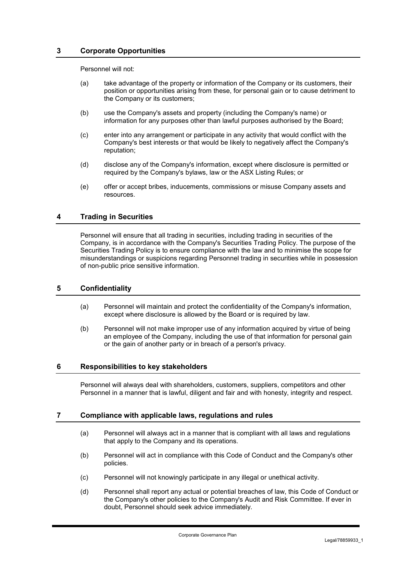### **3 Corporate Opportunities**

Personnel will not:

- (a) take advantage of the property or information of the Company or its customers, their position or opportunities arising from these, for personal gain or to cause detriment to the Company or its customers;
- (b) use the Company's assets and property (including the Company's name) or information for any purposes other than lawful purposes authorised by the Board;
- (c) enter into any arrangement or participate in any activity that would conflict with the Company's best interests or that would be likely to negatively affect the Company's reputation;
- (d) disclose any of the Company's information, except where disclosure is permitted or required by the Company's bylaws, law or the ASX Listing Rules; or
- (e) offer or accept bribes, inducements, commissions or misuse Company assets and resources.

## **4 Trading in Securities**

Personnel will ensure that all trading in securities, including trading in securities of the Company, is in accordance with the Company's Securities Trading Policy. The purpose of the Securities Trading Policy is to ensure compliance with the law and to minimise the scope for misunderstandings or suspicions regarding Personnel trading in securities while in possession of non-public price sensitive information.

#### **5 Confidentiality**

- (a) Personnel will maintain and protect the confidentiality of the Company's information, except where disclosure is allowed by the Board or is required by law.
- (b) Personnel will not make improper use of any information acquired by virtue of being an employee of the Company, including the use of that information for personal gain or the gain of another party or in breach of a person's privacy.

#### **6 Responsibilities to key stakeholders**

Personnel will always deal with shareholders, customers, suppliers, competitors and other Personnel in a manner that is lawful, diligent and fair and with honesty, integrity and respect.

#### **7 Compliance with applicable laws, regulations and rules**

- (a) Personnel will always act in a manner that is compliant with all laws and regulations that apply to the Company and its operations.
- (b) Personnel will act in compliance with this Code of Conduct and the Company's other policies.
- (c) Personnel will not knowingly participate in any illegal or unethical activity.
- (d) Personnel shall report any actual or potential breaches of law, this Code of Conduct or the Company's other policies to the Company's Audit and Risk Committee. If ever in doubt, Personnel should seek advice immediately.